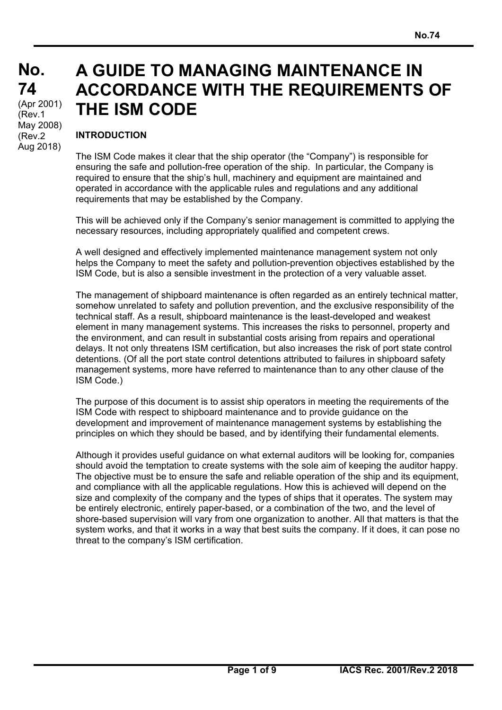# **A GUIDE TO MANAGING MAINTENANCE IN ACCORDANCE WITH THE REQUIREMENTS OF THE ISM CODE**

#### **INTRODUCTION**

 $\overline{a}$ 

The ISM Code makes it clear that the ship operator (the "Company") is responsible for ensuring the safe and pollution-free operation of the ship. In particular, the Company is required to ensure that the ship's hull, machinery and equipment are maintained and operated in accordance with the applicable rules and regulations and any additional requirements that may be established by the Company.

This will be achieved only if the Company's senior management is committed to applying the necessary resources, including appropriately qualified and competent crews.

A well designed and effectively implemented maintenance management system not only helps the Company to meet the safety and pollution-prevention objectives established by the ISM Code, but is also a sensible investment in the protection of a very valuable asset.

The management of shipboard maintenance is often regarded as an entirely technical matter, somehow unrelated to safety and pollution prevention, and the exclusive responsibility of the technical staff. As a result, shipboard maintenance is the least-developed and weakest element in many management systems. This increases the risks to personnel, property and the environment, and can result in substantial costs arising from repairs and operational delays. It not only threatens ISM certification, but also increases the risk of port state control detentions. (Of all the port state control detentions attributed to failures in shipboard safety management systems, more have referred to maintenance than to any other clause of the ISM Code.)

The purpose of this document is to assist ship operators in meeting the requirements of the ISM Code with respect to shipboard maintenance and to provide guidance on the development and improvement of maintenance management systems by establishing the principles on which they should be based, and by identifying their fundamental elements.

Although it provides useful guidance on what external auditors will be looking for, companies should avoid the temptation to create systems with the sole aim of keeping the auditor happy. The objective must be to ensure the safe and reliable operation of the ship and its equipment, and compliance with all the applicable regulations. How this is achieved will depend on the size and complexity of the company and the types of ships that it operates. The system may be entirely electronic, entirely paper-based, or a combination of the two, and the level of shore-based supervision will vary from one organization to another. All that matters is that the system works, and that it works in a way that best suits the company. If it does, it can pose no threat to the company's ISM certification.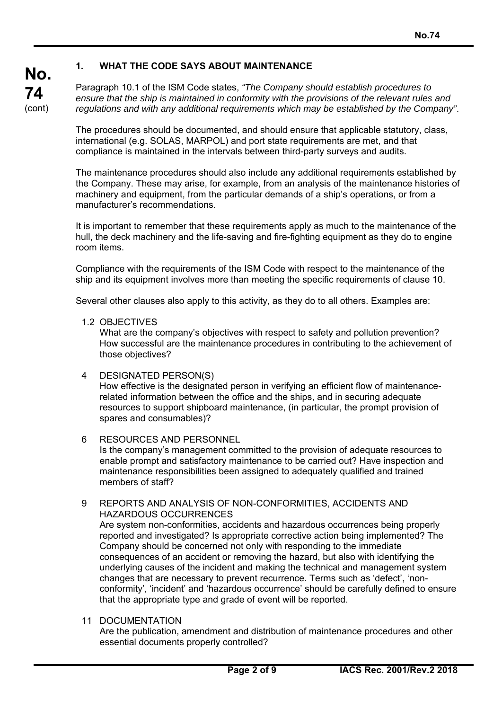#### **1. WHAT THE CODE SAYS ABOUT MAINTENANCE**

Paragraph 10.1 of the ISM Code states, *"The Company should establish procedures to ensure that the ship is maintained in conformity with the provisions of the relevant rules and regulations and with any additional requirements which may be established by the Company"*.

The procedures should be documented, and should ensure that applicable statutory, class, international (e.g. SOLAS, MARPOL) and port state requirements are met, and that compliance is maintained in the intervals between third-party surveys and audits.

The maintenance procedures should also include any additional requirements established by the Company. These may arise, for example, from an analysis of the maintenance histories of machinery and equipment, from the particular demands of a ship's operations, or from a manufacturer's recommendations.

It is important to remember that these requirements apply as much to the maintenance of the hull, the deck machinery and the life-saving and fire-fighting equipment as they do to engine room items.

Compliance with the requirements of the ISM Code with respect to the maintenance of the ship and its equipment involves more than meeting the specific requirements of clause 10.

Several other clauses also apply to this activity, as they do to all others. Examples are:

1.2 OBJECTIVES

**No.** 

**74**  (cont)

> What are the company's objectives with respect to safety and pollution prevention? How successful are the maintenance procedures in contributing to the achievement of those objectives?

- 4 DESIGNATED PERSON(S) How effective is the designated person in verifying an efficient flow of maintenancerelated information between the office and the ships, and in securing adequate resources to support shipboard maintenance, (in particular, the prompt provision of spares and consumables)?
- 6 RESOURCES AND PERSONNEL Is the company's management committed to the provision of adequate resources to enable prompt and satisfactory maintenance to be carried out? Have inspection and maintenance responsibilities been assigned to adequately qualified and trained members of staff?
- 9 REPORTS AND ANALYSIS OF NON-CONFORMITIES, ACCIDENTS AND HAZARDOUS OCCURRENCES

 Are system non-conformities, accidents and hazardous occurrences being properly reported and investigated? Is appropriate corrective action being implemented? The Company should be concerned not only with responding to the immediate consequences of an accident or removing the hazard, but also with identifying the underlying causes of the incident and making the technical and management system changes that are necessary to prevent recurrence. Terms such as 'defect', 'nonconformity', 'incident' and 'hazardous occurrence' should be carefully defined to ensure that the appropriate type and grade of event will be reported.

11 DOCUMENTATION

 $\overline{a}$ 

 Are the publication, amendment and distribution of maintenance procedures and other essential documents properly controlled?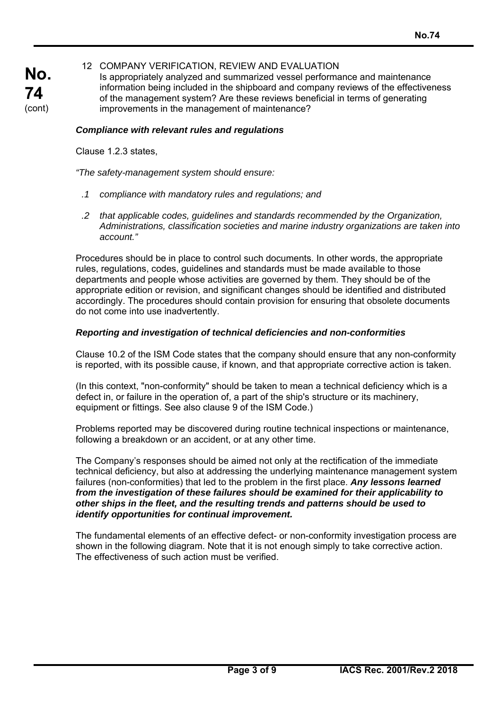## **No. 74**  (cont)

#### 12 COMPANY VERIFICATION, REVIEW AND EVALUATION

 Is appropriately analyzed and summarized vessel performance and maintenance information being included in the shipboard and company reviews of the effectiveness of the management system? Are these reviews beneficial in terms of generating improvements in the management of maintenance?

#### *Compliance with relevant rules and regulations*

Clause 1.2.3 states,

 $\overline{a}$ 

*"The safety-management system should ensure:* 

- *.1 compliance with mandatory rules and regulations; and*
- *.2 that applicable codes, guidelines and standards recommended by the Organization, Administrations, classification societies and marine industry organizations are taken into account."*

Procedures should be in place to control such documents. In other words, the appropriate rules, regulations, codes, guidelines and standards must be made available to those departments and people whose activities are governed by them. They should be of the appropriate edition or revision, and significant changes should be identified and distributed accordingly. The procedures should contain provision for ensuring that obsolete documents do not come into use inadvertently.

#### *Reporting and investigation of technical deficiencies and non-conformities*

Clause 10.2 of the ISM Code states that the company should ensure that any non-conformity is reported, with its possible cause, if known, and that appropriate corrective action is taken.

(In this context, "non-conformity" should be taken to mean a technical deficiency which is a defect in, or failure in the operation of, a part of the ship's structure or its machinery, equipment or fittings. See also clause 9 of the ISM Code.)

Problems reported may be discovered during routine technical inspections or maintenance, following a breakdown or an accident, or at any other time.

The Company's responses should be aimed not only at the rectification of the immediate technical deficiency, but also at addressing the underlying maintenance management system failures (non-conformities) that led to the problem in the first place. *Any lessons learned from the investigation of these failures should be examined for their applicability to other ships in the fleet, and the resulting trends and patterns should be used to identify opportunities for continual improvement.*

The fundamental elements of an effective defect- or non-conformity investigation process are shown in the following diagram. Note that it is not enough simply to take corrective action. The effectiveness of such action must be verified.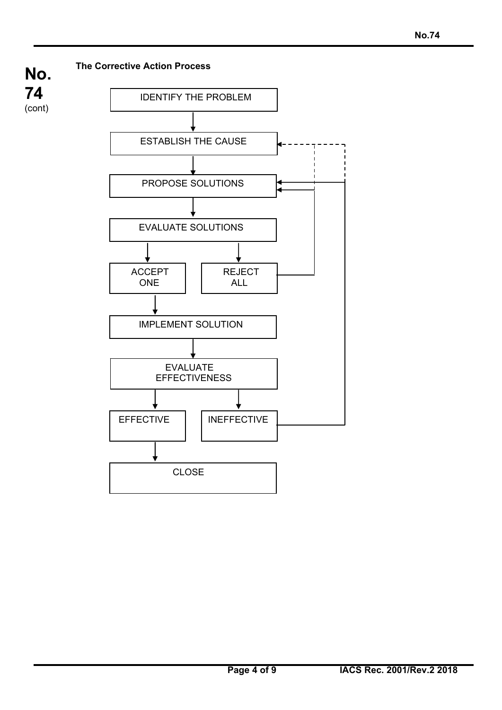

 $\overline{a}$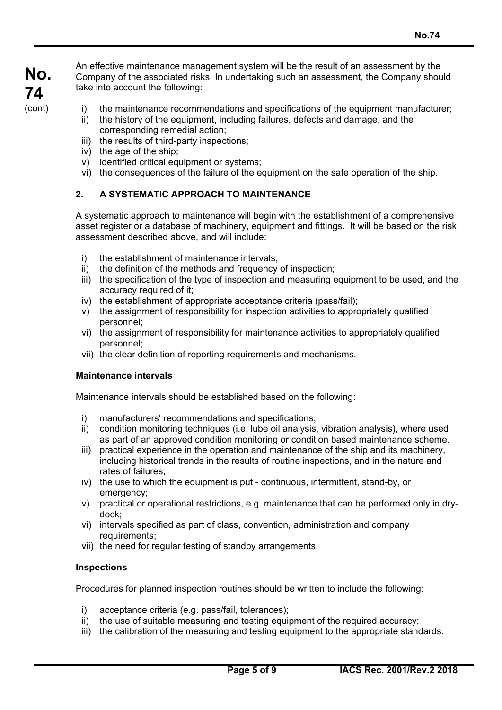An effective maintenance management system will be the result of an assessment by the Company of the associated risks. In undertaking such an assessment, the Company should take into account the following:

i) the maintenance recommendations and specifications of the equipment manufacturer;

- ii) the history of the equipment, including failures, defects and damage, and the corresponding remedial action;
- iii) the results of third-party inspections;
- iv) the age of the ship;
- v) identified critical equipment or systems;
- vi) the consequences of the failure of the equipment on the safe operation of the ship.

#### **2. A SYSTEMATIC APPROACH TO MAINTENANCE**

A systematic approach to maintenance will begin with the establishment of a comprehensive asset register or a database of machinery, equipment and fittings. It will be based on the risk assessment described above, and will include:

- i) the establishment of maintenance intervals;
- ii) the definition of the methods and frequency of inspection;
- iii) the specification of the type of inspection and measuring equipment to be used, and the accuracy required of it;
- iv) the establishment of appropriate acceptance criteria (pass/fail);
- v) the assignment of responsibility for inspection activities to appropriately qualified personnel;
- vi) the assignment of responsibility for maintenance activities to appropriately qualified personnel;
- vii) the clear definition of reporting requirements and mechanisms.

#### **Maintenance intervals**

Maintenance intervals should be established based on the following:

- i) manufacturers' recommendations and specifications;
- ii) condition monitoring techniques (i.e. lube oil analysis, vibration analysis), where used as part of an approved condition monitoring or condition based maintenance scheme.
- iii) practical experience in the operation and maintenance of the ship and its machinery, including historical trends in the results of routine inspections, and in the nature and rates of failures;
- iv) the use to which the equipment is put continuous, intermittent, stand-by, or emergency;
- v) practical or operational restrictions, e.g. maintenance that can be performed only in drydock;
- vi) intervals specified as part of class, convention, administration and company requirements;
- vii) the need for regular testing of standby arrangements.

#### **Inspections**

 $\overline{a}$ 

Procedures for planned inspection routines should be written to include the following:

- i) acceptance criteria (e.g. pass/fail, tolerances);
- ii) the use of suitable measuring and testing equipment of the required accuracy;
- iii) the calibration of the measuring and testing equipment to the appropriate standards.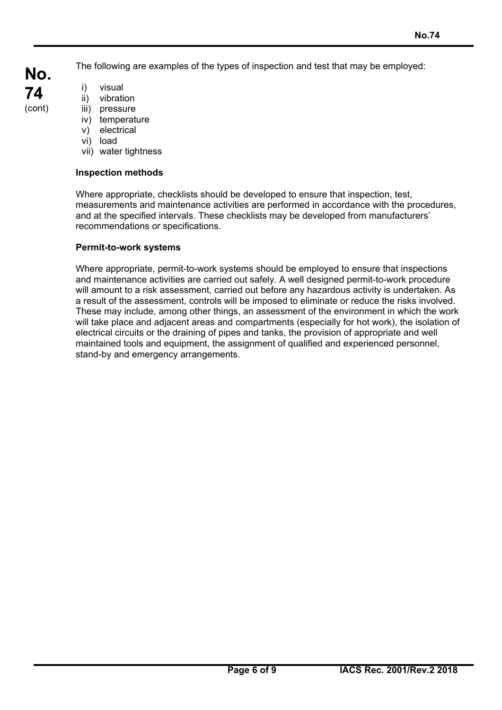**No. 74**  (cont)

The following are examples of the types of inspection and test that may be employed:

- i) visual
- ii) vibration
- iii) pressure
- iv) temperature
- v) electrical
- vi) load

 $\overline{a}$ 

vii) water tightness

## **Inspection methods**

Where appropriate, checklists should be developed to ensure that inspection, test, measurements and maintenance activities are performed in accordance with the procedures, and at the specified intervals. These checklists may be developed from manufacturers' recommendations or specifications.

## **Permit-to-work systems**

Where appropriate, permit-to-work systems should be employed to ensure that inspections and maintenance activities are carried out safely. A well designed permit-to-work procedure will amount to a risk assessment, carried out before any hazardous activity is undertaken. As a result of the assessment, controls will be imposed to eliminate or reduce the risks involved. These may include, among other things, an assessment of the environment in which the work will take place and adjacent areas and compartments (especially for hot work), the isolation of electrical circuits or the draining of pipes and tanks, the provision of appropriate and well maintained tools and equipment, the assignment of qualified and experienced personnel, stand-by and emergency arrangements.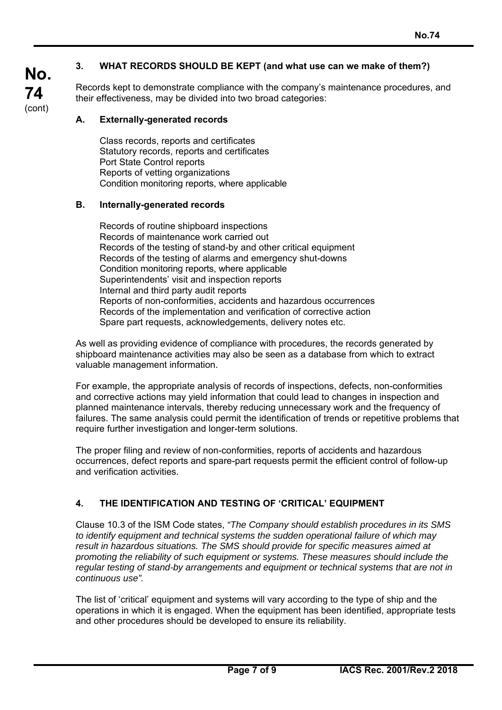$\overline{a}$ 

## **3. WHAT RECORDS SHOULD BE KEPT (and what use can we make of them?)**

Records kept to demonstrate compliance with the company's maintenance procedures, and their effectiveness, may be divided into two broad categories:

#### **A. Externally-generated records**

Class records, reports and certificates Statutory records, reports and certificates Port State Control reports Reports of vetting organizations Condition monitoring reports, where applicable

#### **B. Internally-generated records**

Records of routine shipboard inspections Records of maintenance work carried out Records of the testing of stand-by and other critical equipment Records of the testing of alarms and emergency shut-downs Condition monitoring reports, where applicable Superintendents' visit and inspection reports Internal and third party audit reports Reports of non-conformities, accidents and hazardous occurrences Records of the implementation and verification of corrective action Spare part requests, acknowledgements, delivery notes etc.

As well as providing evidence of compliance with procedures, the records generated by shipboard maintenance activities may also be seen as a database from which to extract valuable management information.

For example, the appropriate analysis of records of inspections, defects, non-conformities and corrective actions may yield information that could lead to changes in inspection and planned maintenance intervals, thereby reducing unnecessary work and the frequency of failures. The same analysis could permit the identification of trends or repetitive problems that require further investigation and longer-term solutions.

The proper filing and review of non-conformities, reports of accidents and hazardous occurrences, defect reports and spare-part requests permit the efficient control of follow-up and verification activities.

### **4. THE IDENTIFICATION AND TESTING OF 'CRITICAL' EQUIPMENT**

Clause 10.3 of the ISM Code states, *"The Company should establish procedures in its SMS to identify equipment and technical systems the sudden operational failure of which may result in hazardous situations. The SMS should provide for specific measures aimed at promoting the reliability of such equipment or systems. These measures should include the regular testing of stand-by arrangements and equipment or technical systems that are not in continuous use".* 

The list of 'critical' equipment and systems will vary according to the type of ship and the operations in which it is engaged. When the equipment has been identified, appropriate tests and other procedures should be developed to ensure its reliability.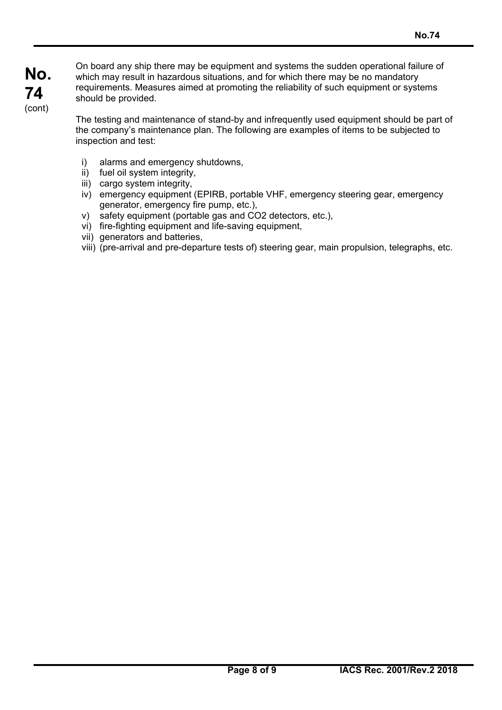**No. 74**  (cont)

On board any ship there may be equipment and systems the sudden operational failure of which may result in hazardous situations, and for which there may be no mandatory requirements. Measures aimed at promoting the reliability of such equipment or systems should be provided.

The testing and maintenance of stand-by and infrequently used equipment should be part of the company's maintenance plan. The following are examples of items to be subjected to inspection and test:

- i) alarms and emergency shutdowns,
- ii) fuel oil system integrity,
- iii) cargo system integrity,
- iv) emergency equipment (EPIRB, portable VHF, emergency steering gear, emergency generator, emergency fire pump, etc.),
- v) safety equipment (portable gas and CO2 detectors, etc.),
- vi) fire-fighting equipment and life-saving equipment,
- vii) generators and batteries,

 $\overline{a}$ 

viii) (pre-arrival and pre-departure tests of) steering gear, main propulsion, telegraphs, etc.